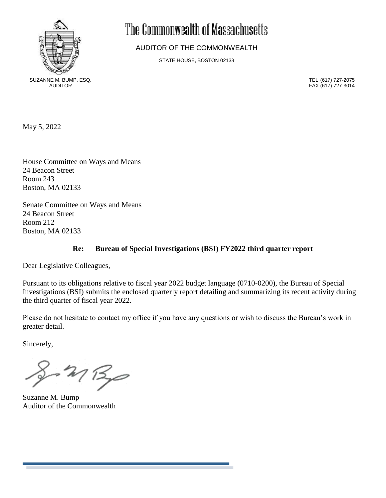

# The Commonwealth of Massachusetts

AUDITOR OF THE COMMONWEALTH

STATE HOUSE, BOSTON 02133

TEL (617) 727-2075 FAX (617) 727-3014

May 5, 2022

House Committee on Ways and Means 24 Beacon Street Room 243 Boston, MA 02133

Senate Committee on Ways and Means 24 Beacon Street Room 212 Boston, MA 02133

### **Re: Bureau of Special Investigations (BSI) FY2022 third quarter report**

Dear Legislative Colleagues,

Pursuant to its obligations relative to fiscal year 2022 budget language (0710-0200), the Bureau of Special Investigations (BSI) submits the enclosed quarterly report detailing and summarizing its recent activity during the third quarter of fiscal year 2022.

Please do not hesitate to contact my office if you have any questions or wish to discuss the Bureau's work in greater detail.

Sincerely,

Ī

 $-m_{\beta\beta}$ 

Suzanne M. Bump Auditor of the Commonwealth